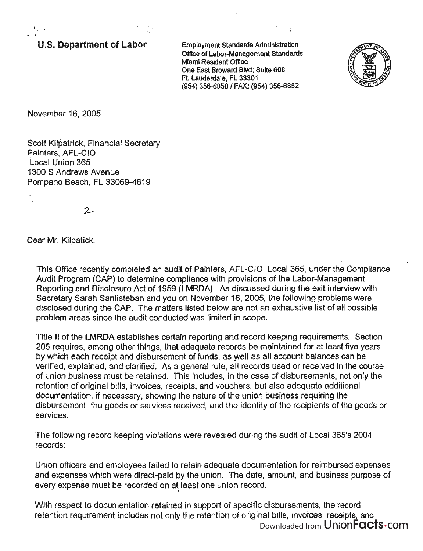u.s. **Department of Labor** 

Employment Standards Administration Office of Labor-Management standards Miami Resident Office One East Broward Blvd; Suite 608 Ft. Lauderdale, FL 33301 (954) 356-6850 I FAX: (954) 356-6852



November 16, 2005

 $\mathcal{L}_{\mathbf{t}}$ 

Scott Kilpatrick, Financial Secretary Painters, AFL-CIO Local Union 365 1300 S Andrews Avenue Pompano Beach, FL 33069-4619

 $2-$ 

Dear Mr. Kilpatick:

This Office recently completed an audit of Painters, AFL-CIO, Local 365, under the Compliance Audit Program (CAP) to determine compliance with provisions of the Labor-Management Reporting and Disclosure Act of 1959 (LMRDA). As discussed during the exit interview with Secretary Sarah Santisteban and you on November 16, 2005, the following problems were disclosed during the CAP. The matters listed below are not an exhaustive list of all possible problem areas since the audit conducted was limited in scope.

Title II of the LMRDA establishes certain reporting and record keeping requirements. Section 206 requires, among other things, that adequate records be maintained for at least five years by which each receipt and disbursement of funds, as well as all account balances can be verified, explained, and clarified. As a general rule, all records used or received in the course of union business must be retained. This includes, in the case of disbursements, not only the retention of original bills, invoices, receipts, and vouchers, but also adequate additional documentation, if necessary, showing the nature of the union business requiring the disbursement, the goods or services received, and the identity of the recipients of the goods or services.

The following record keeping violations were revealed during the audit of Local 365's 2004 records:

Union officers and employees failed to retain adequate documentation for reimbursed expenses and expenses which were direct-paid by the union. The date, amount, and business purpose of very expense must be recorded on at least one union record.

With respect to documentation retained in support of specific disbursements, the record retention requirement includes not only the retention of original bills, invoices, receipts, and Downloaded from UnionFacts.com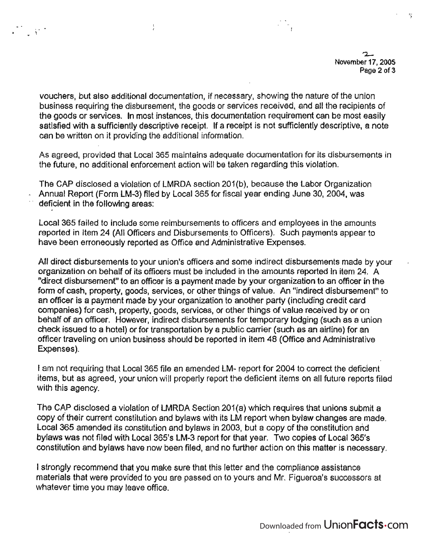ηè

vouchers, but also additional documentation, if necessary, showing the nature of the union business requiring the disbursement, the goods or services received, and all the recipients of the goods or services. In most instances, this documentation requirement can be most easily satisfied with a sufficiently descriptive receipt. If a receipt is not sufficiently descriptive, a note can be written on it providing the additional information.

, . . \

As agreed, provided that Local 365 maintains adequate documentation for its disbursements in the future, no additional enforcement action will be taken regarding this violation.

The CAP disclosed a violation of LMRDA section 201(b), because the Labor Organization Annual Report (Form LM-3) filed by Local 365 for fiscal year ending June 30, 2004, was deficient in the following areas:

Local 365 failed to include some reimbursements to officers and employees in the amounts reported in Item 24 (All Officers and Disbursements to Officers). Such payments appear to have been erroneously reported as Office and Administrative Expenses.

All direct disbursements to your union's officers and some indirect disbursements made by your organization on behalf of its officers must be included in the amounts reported in item 24. A "direct disbursement" to an officer is a payment made by your organization to an officer in the form of cash, property, goods, services, or other things of value. An "indirect disbursement" to an officer is a payment made by your organization to another party (including credit card companies) for cash, property, goods, services, or other things of value received by or on behalf of an officer. However, indirect disbursements for temporary lodging (such as a union check issued to a hotel) or for transportation by a public carrier (such as an airline) for an officer traveling on union business should be reported in item 48 (Office and Administrative Expenses).

I am not requiring that Local 365 file an amended LM- report for 2004 to correct the deficient items, but as agreed, your union will properly report the deficient items on all future reports filed with this agency.

The CAP disclosed a violation of LMRDA Section 201(a) which requires that unions submit a copy of their current constitution and bylaws with its LM report when bylaw changes are made. Local 365 amended its constitution and bylaws in 2003, but a copy of the constitution arid bylaws was not filed with Local 365's LM-3 report for that year. Two copies of Local 365's constitution and bylaws have now been filed, and ho further action on this matter is necessary.

I strongly recommend that you make sure that this letter and the compliance assistance materials that were provided to you are passed on to yours and Mr. Figueroa's successors at whatever time you may leave office.